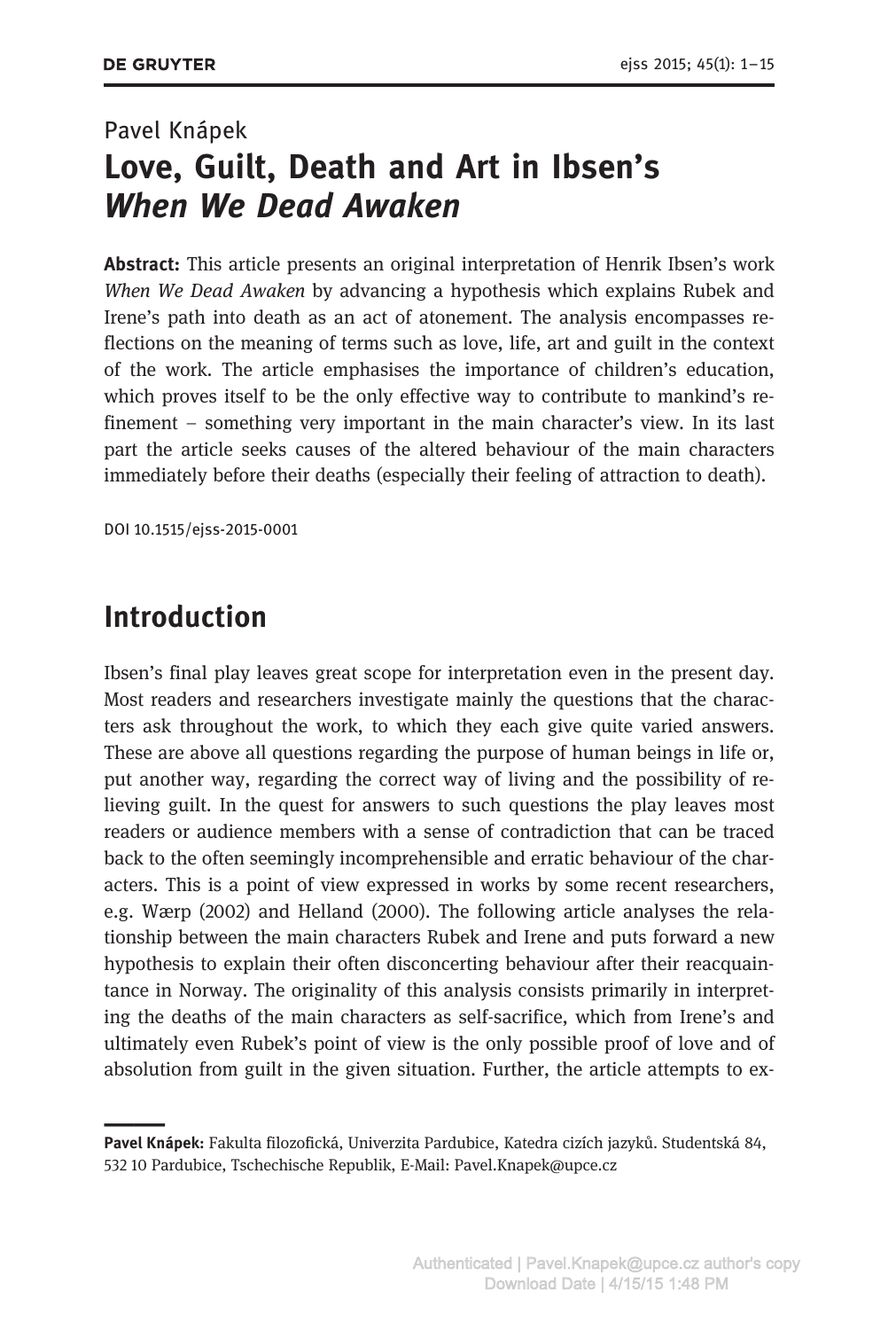## Pavel Knápek Love, Guilt, Death and Art in Ibsen's When We Dead Awaken

Abstract: This article presents an original interpretation of Henrik Ibsen's work When We Dead Awaken by advancing a hypothesis which explains Rubek and Irene's path into death as an act of atonement. The analysis encompasses reflections on the meaning of terms such as love, life, art and guilt in the context of the work. The article emphasises the importance of children's education, which proves itself to be the only effective way to contribute to mankind's refinement – something very important in the main character's view. In its last part the article seeks causes of the altered behaviour of the main characters immediately before their deaths (especially their feeling of attraction to death).

DOI 10.1515/ejss-2015-0001

### Introduction

Ibsen's final play leaves great scope for interpretation even in the present day. Most readers and researchers investigate mainly the questions that the characters ask throughout the work, to which they each give quite varied answers. These are above all questions regarding the purpose of human beings in life or, put another way, regarding the correct way of living and the possibility of relieving guilt. In the quest for answers to such questions the play leaves most readers or audience members with a sense of contradiction that can be traced back to the often seemingly incomprehensible and erratic behaviour of the characters. This is a point of view expressed in works by some recent researchers, e.g. Wærp (2002) and Helland (2000). The following article analyses the relationship between the main characters Rubek and Irene and puts forward a new hypothesis to explain their often disconcerting behaviour after their reacquaintance in Norway. The originality of this analysis consists primarily in interpreting the deaths of the main characters as self-sacrifice, which from Irene's and ultimately even Rubek's point of view is the only possible proof of love and of absolution from guilt in the given situation. Further, the article attempts to ex-

Pavel Knápek: Fakulta filozofická, Univerzita Pardubice, Katedra cizích jazyků. Studentská 84, 532 10 Pardubice, Tschechische Republik, E-Mail: Pavel.Knapek@upce.cz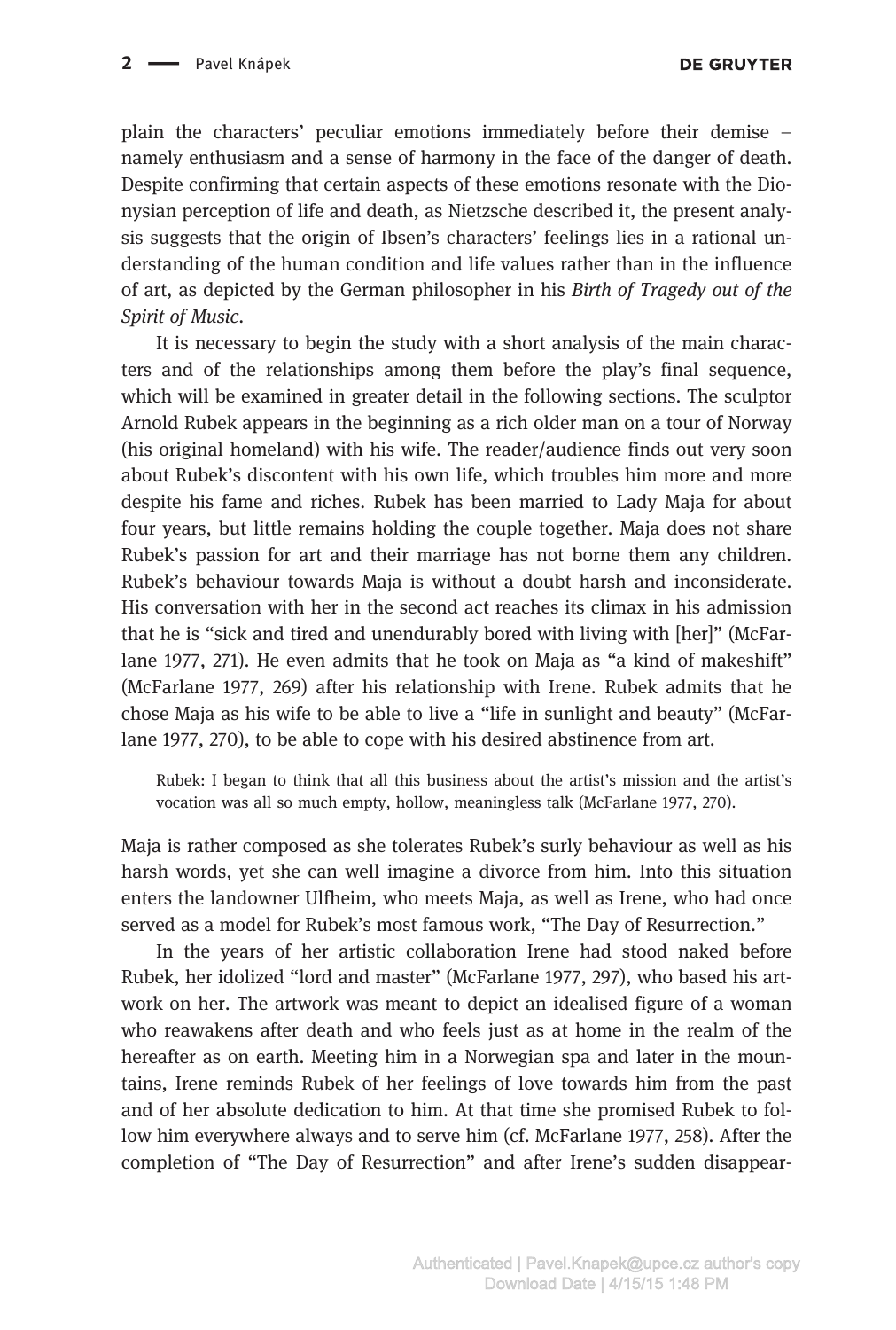plain the characters' peculiar emotions immediately before their demise – namely enthusiasm and a sense of harmony in the face of the danger of death. Despite confirming that certain aspects of these emotions resonate with the Dionysian perception of life and death, as Nietzsche described it, the present analysis suggests that the origin of Ibsen's characters' feelings lies in a rational understanding of the human condition and life values rather than in the influence of art, as depicted by the German philosopher in his Birth of Tragedy out of the Spirit of Music.

It is necessary to begin the study with a short analysis of the main characters and of the relationships among them before the play's final sequence, which will be examined in greater detail in the following sections. The sculptor Arnold Rubek appears in the beginning as a rich older man on a tour of Norway (his original homeland) with his wife. The reader/audience finds out very soon about Rubek's discontent with his own life, which troubles him more and more despite his fame and riches. Rubek has been married to Lady Maja for about four years, but little remains holding the couple together. Maja does not share Rubek's passion for art and their marriage has not borne them any children. Rubek's behaviour towards Maja is without a doubt harsh and inconsiderate. His conversation with her in the second act reaches its climax in his admission that he is "sick and tired and unendurably bored with living with [her]" (McFarlane 1977, 271). He even admits that he took on Maja as "a kind of makeshift" (McFarlane 1977, 269) after his relationship with Irene. Rubek admits that he chose Maja as his wife to be able to live a "life in sunlight and beauty" (McFarlane 1977, 270), to be able to cope with his desired abstinence from art.

Rubek: I began to think that all this business about the artist's mission and the artist's vocation was all so much empty, hollow, meaningless talk (McFarlane 1977, 270).

Maja is rather composed as she tolerates Rubek's surly behaviour as well as his harsh words, yet she can well imagine a divorce from him. Into this situation enters the landowner Ulfheim, who meets Maja, as well as Irene, who had once served as a model for Rubek's most famous work, "The Day of Resurrection."

In the years of her artistic collaboration Irene had stood naked before Rubek, her idolized "lord and master" (McFarlane 1977, 297), who based his artwork on her. The artwork was meant to depict an idealised figure of a woman who reawakens after death and who feels just as at home in the realm of the hereafter as on earth. Meeting him in a Norwegian spa and later in the mountains, Irene reminds Rubek of her feelings of love towards him from the past and of her absolute dedication to him. At that time she promised Rubek to follow him everywhere always and to serve him (cf. McFarlane 1977, 258). After the completion of "The Day of Resurrection" and after Irene's sudden disappear-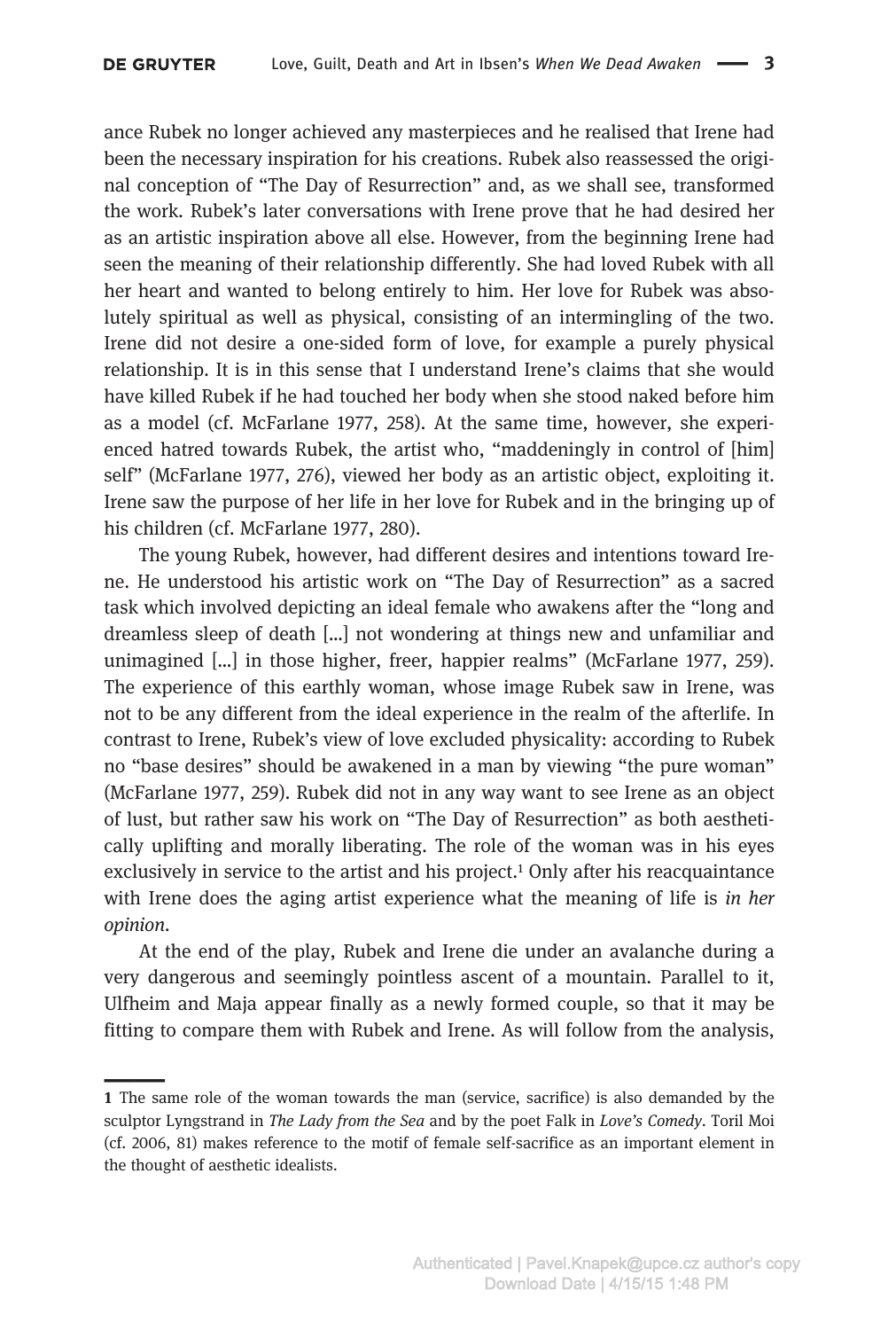\_\_\_

ance Rubek no longer achieved any masterpieces and he realised that Irene had been the necessary inspiration for his creations. Rubek also reassessed the original conception of "The Day of Resurrection" and, as we shall see, transformed the work. Rubek's later conversations with Irene prove that he had desired her as an artistic inspiration above all else. However, from the beginning Irene had seen the meaning of their relationship differently. She had loved Rubek with all her heart and wanted to belong entirely to him. Her love for Rubek was absolutely spiritual as well as physical, consisting of an intermingling of the two. Irene did not desire a one-sided form of love, for example a purely physical relationship. It is in this sense that I understand Irene's claims that she would have killed Rubek if he had touched her body when she stood naked before him as a model (cf. McFarlane 1977, 258). At the same time, however, she experienced hatred towards Rubek, the artist who, "maddeningly in control of [him] self" (McFarlane 1977, 276), viewed her body as an artistic object, exploiting it. Irene saw the purpose of her life in her love for Rubek and in the bringing up of his children (cf. McFarlane 1977, 280).

The young Rubek, however, had different desires and intentions toward Irene. He understood his artistic work on "The Day of Resurrection" as a sacred task which involved depicting an ideal female who awakens after the "long and dreamless sleep of death […] not wondering at things new and unfamiliar and unimagined […] in those higher, freer, happier realms" (McFarlane 1977, 259). The experience of this earthly woman, whose image Rubek saw in Irene, was not to be any different from the ideal experience in the realm of the afterlife. In contrast to Irene, Rubek's view of love excluded physicality: according to Rubek no "base desires" should be awakened in a man by viewing "the pure woman" (McFarlane 1977, 259). Rubek did not in any way want to see Irene as an object of lust, but rather saw his work on "The Day of Resurrection" as both aesthetically uplifting and morally liberating. The role of the woman was in his eyes exclusively in service to the artist and his project.<sup>1</sup> Only after his reacquaintance with Irene does the aging artist experience what the meaning of life is in her opinion.

At the end of the play, Rubek and Irene die under an avalanche during a very dangerous and seemingly pointless ascent of a mountain. Parallel to it, Ulfheim and Maja appear finally as a newly formed couple, so that it may be fitting to compare them with Rubek and Irene. As will follow from the analysis,

<sup>1</sup> The same role of the woman towards the man (service, sacrifice) is also demanded by the sculptor Lyngstrand in The Lady from the Sea and by the poet Falk in Love's Comedy. Toril Moi (cf. 2006, 81) makes reference to the motif of female self-sacrifice as an important element in the thought of aesthetic idealists.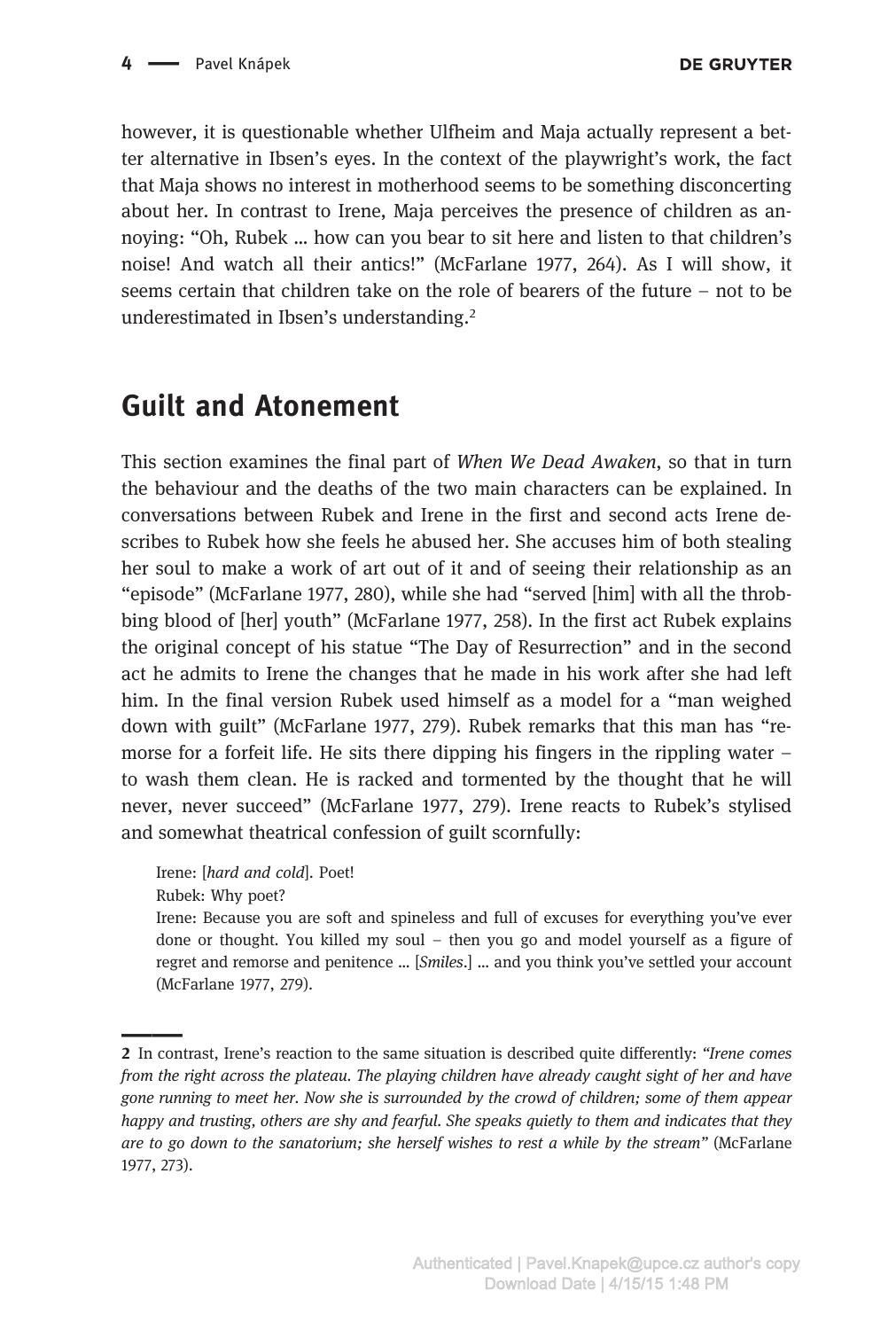however, it is questionable whether Ulfheim and Maja actually represent a better alternative in Ibsen's eyes. In the context of the playwright's work, the fact that Maja shows no interest in motherhood seems to be something disconcerting about her. In contrast to Irene, Maja perceives the presence of children as annoying: "Oh, Rubek … how can you bear to sit here and listen to that children's noise! And watch all their antics!" (McFarlane 1977, 264). As I will show, it seems certain that children take on the role of bearers of the future – not to be underestimated in Ibsen's understanding.2

## Guilt and Atonement

This section examines the final part of When We Dead Awaken, so that in turn the behaviour and the deaths of the two main characters can be explained. In conversations between Rubek and Irene in the first and second acts Irene describes to Rubek how she feels he abused her. She accuses him of both stealing her soul to make a work of art out of it and of seeing their relationship as an "episode" (McFarlane 1977, 280), while she had "served [him] with all the throbbing blood of [her] youth" (McFarlane 1977, 258). In the first act Rubek explains the original concept of his statue "The Day of Resurrection" and in the second act he admits to Irene the changes that he made in his work after she had left him. In the final version Rubek used himself as a model for a "man weighed down with guilt" (McFarlane 1977, 279). Rubek remarks that this man has "remorse for a forfeit life. He sits there dipping his fingers in the rippling water – to wash them clean. He is racked and tormented by the thought that he will never, never succeed" (McFarlane 1977, 279). Irene reacts to Rubek's stylised and somewhat theatrical confession of guilt scornfully:

Irene: [hard and cold]. Poet! Rubek: Why poet?

Irene: Because you are soft and spineless and full of excuses for everything you've ever done or thought. You killed my soul – then you go and model yourself as a figure of regret and remorse and penitence … [Smiles.] … and you think you've settled your account (McFarlane 1977, 279).

<sup>2</sup> In contrast, Irene's reaction to the same situation is described quite differently: "Irene comes from the right across the plateau. The playing children have already caught sight of her and have gone running to meet her. Now she is surrounded by the crowd of children; some of them appear happy and trusting, others are shy and fearful. She speaks quietly to them and indicates that they are to go down to the sanatorium; she herself wishes to rest a while by the stream" (McFarlane 1977, 273).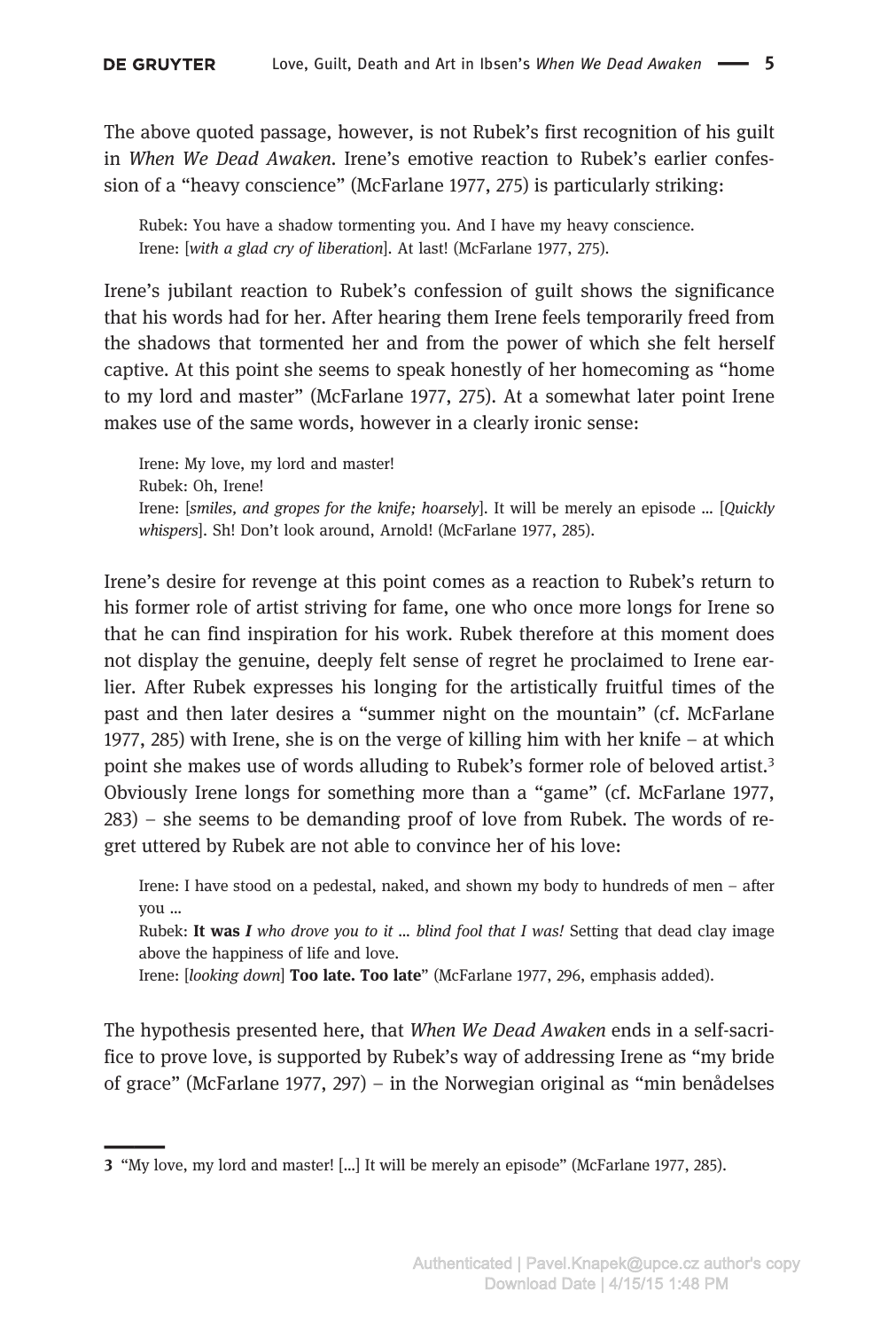\_\_\_

The above quoted passage, however, is not Rubek's first recognition of his guilt in When We Dead Awaken. Irene's emotive reaction to Rubek's earlier confession of a "heavy conscience" (McFarlane 1977, 275) is particularly striking:

Rubek: You have a shadow tormenting you. And I have my heavy conscience. Irene: [with a glad cry of liberation]. At last! (McFarlane 1977, 275).

Irene's jubilant reaction to Rubek's confession of guilt shows the significance that his words had for her. After hearing them Irene feels temporarily freed from the shadows that tormented her and from the power of which she felt herself captive. At this point she seems to speak honestly of her homecoming as "home to my lord and master" (McFarlane 1977, 275). At a somewhat later point Irene makes use of the same words, however in a clearly ironic sense:

Irene: My love, my lord and master! Rubek: Oh, Irene! Irene: [smiles, and gropes for the knife; hoarsely]. It will be merely an episode … [Quickly whispers]. Sh! Don't look around, Arnold! (McFarlane 1977, 285).

Irene's desire for revenge at this point comes as a reaction to Rubek's return to his former role of artist striving for fame, one who once more longs for Irene so that he can find inspiration for his work. Rubek therefore at this moment does not display the genuine, deeply felt sense of regret he proclaimed to Irene earlier. After Rubek expresses his longing for the artistically fruitful times of the past and then later desires a "summer night on the mountain" (cf. McFarlane 1977, 285) with Irene, she is on the verge of killing him with her knife – at which point she makes use of words alluding to Rubek's former role of beloved artist.3 Obviously Irene longs for something more than a "game" (cf. McFarlane 1977, 283) – she seems to be demanding proof of love from Rubek. The words of regret uttered by Rubek are not able to convince her of his love:

Irene: I have stood on a pedestal, naked, and shown my body to hundreds of men – after you …

Rubek: It was I who drove you to it ... blind fool that I was! Setting that dead clay image above the happiness of life and love.

Irene: [looking down] Too late. Too late" (McFarlane 1977, 296, emphasis added).

The hypothesis presented here, that When We Dead Awaken ends in a self-sacrifice to prove love, is supported by Rubek's way of addressing Irene as "my bride of grace" (McFarlane 1977, 297) – in the Norwegian original as "min benådelses

<sup>3</sup> "My love, my lord and master! […] It will be merely an episode" (McFarlane 1977, 285).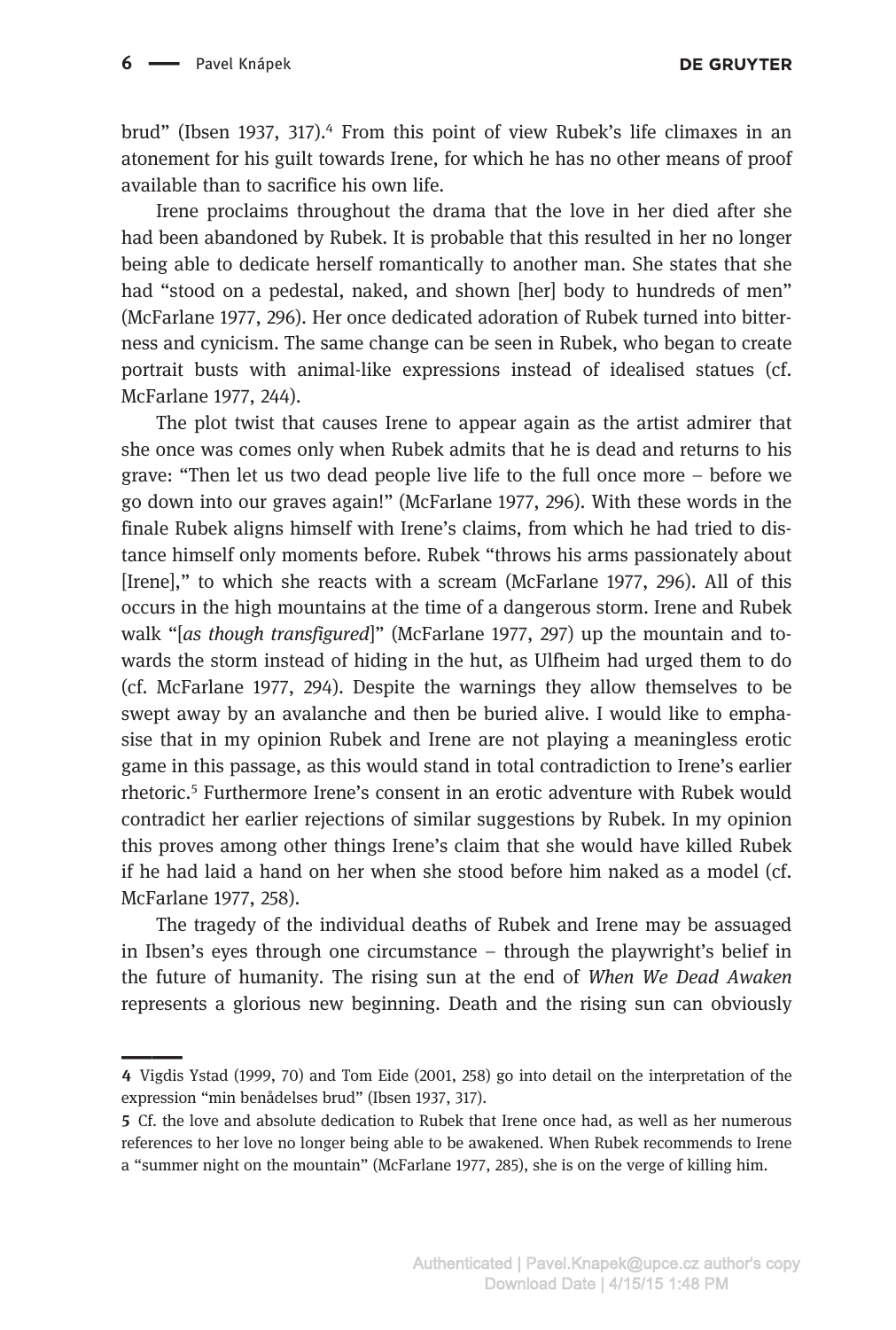\_\_\_

brud" (Ibsen 1937, 317).<sup>4</sup> From this point of view Rubek's life climaxes in an atonement for his guilt towards Irene, for which he has no other means of proof available than to sacrifice his own life.

Irene proclaims throughout the drama that the love in her died after she had been abandoned by Rubek. It is probable that this resulted in her no longer being able to dedicate herself romantically to another man. She states that she had "stood on a pedestal, naked, and shown [her] body to hundreds of men" (McFarlane 1977, 296). Her once dedicated adoration of Rubek turned into bitterness and cynicism. The same change can be seen in Rubek, who began to create portrait busts with animal-like expressions instead of idealised statues (cf. McFarlane 1977, 244).

The plot twist that causes Irene to appear again as the artist admirer that she once was comes only when Rubek admits that he is dead and returns to his grave: "Then let us two dead people live life to the full once more – before we go down into our graves again!" (McFarlane 1977, 296). With these words in the finale Rubek aligns himself with Irene's claims, from which he had tried to distance himself only moments before. Rubek "throws his arms passionately about [Irene]," to which she reacts with a scream (McFarlane 1977, 296). All of this occurs in the high mountains at the time of a dangerous storm. Irene and Rubek walk "[as though transfigured]" (McFarlane 1977, 297) up the mountain and towards the storm instead of hiding in the hut, as Ulfheim had urged them to do (cf. McFarlane 1977, 294). Despite the warnings they allow themselves to be swept away by an avalanche and then be buried alive. I would like to emphasise that in my opinion Rubek and Irene are not playing a meaningless erotic game in this passage, as this would stand in total contradiction to Irene's earlier rhetoric.5 Furthermore Irene's consent in an erotic adventure with Rubek would contradict her earlier rejections of similar suggestions by Rubek. In my opinion this proves among other things Irene's claim that she would have killed Rubek if he had laid a hand on her when she stood before him naked as a model (cf. McFarlane 1977, 258).

The tragedy of the individual deaths of Rubek and Irene may be assuaged in Ibsen's eyes through one circumstance – through the playwright's belief in the future of humanity. The rising sun at the end of When We Dead Awaken represents a glorious new beginning. Death and the rising sun can obviously

<sup>4</sup> Vigdis Ystad (1999, 70) and Tom Eide (2001, 258) go into detail on the interpretation of the expression "min benådelses brud" (Ibsen 1937, 317).

<sup>5</sup> Cf. the love and absolute dedication to Rubek that Irene once had, as well as her numerous references to her love no longer being able to be awakened. When Rubek recommends to Irene a "summer night on the mountain" (McFarlane 1977, 285), she is on the verge of killing him.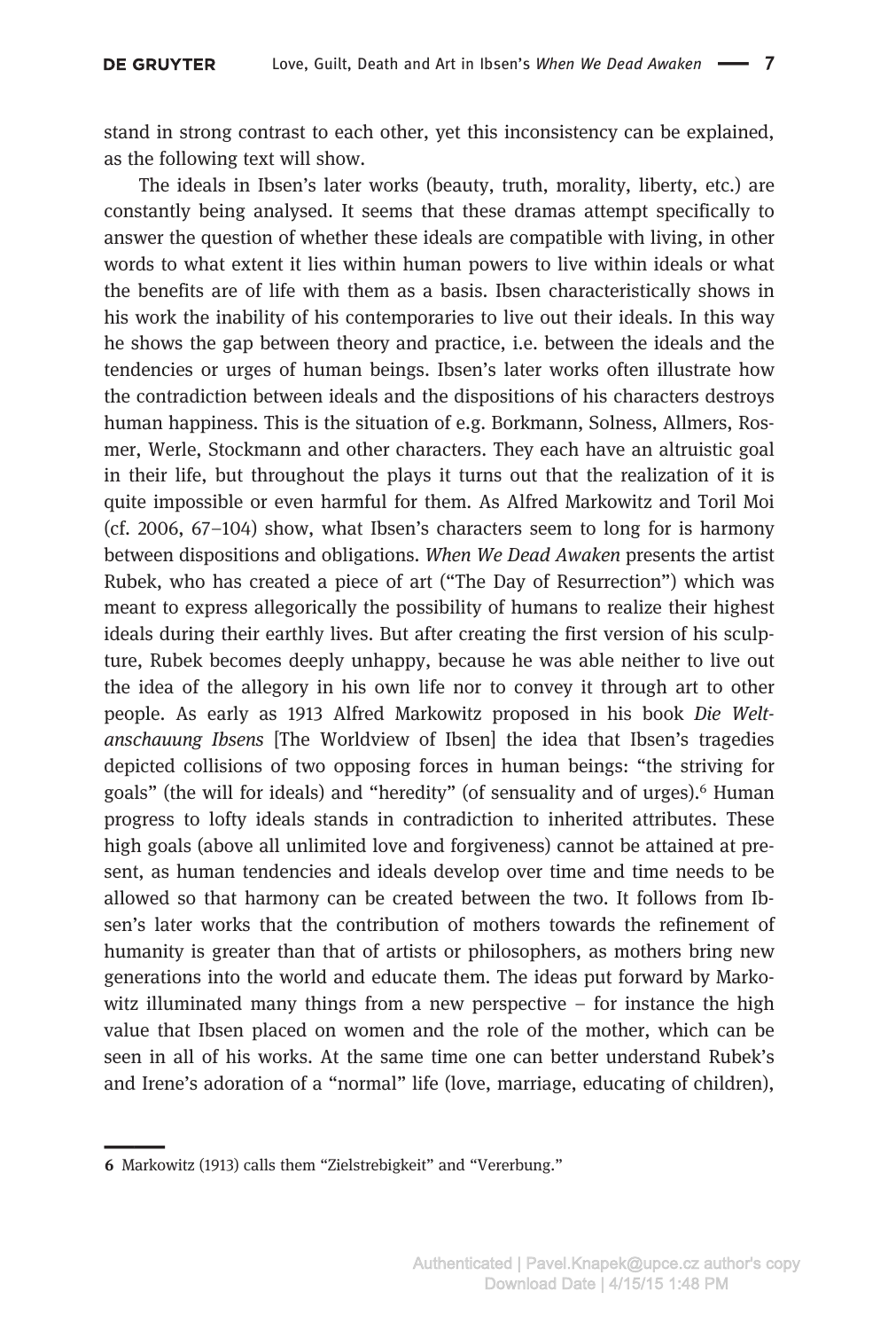stand in strong contrast to each other, yet this inconsistency can be explained, as the following text will show.

The ideals in Ibsen's later works (beauty, truth, morality, liberty, etc.) are constantly being analysed. It seems that these dramas attempt specifically to answer the question of whether these ideals are compatible with living, in other words to what extent it lies within human powers to live within ideals or what the benefits are of life with them as a basis. Ibsen characteristically shows in his work the inability of his contemporaries to live out their ideals. In this way he shows the gap between theory and practice, i.e. between the ideals and the tendencies or urges of human beings. Ibsen's later works often illustrate how the contradiction between ideals and the dispositions of his characters destroys human happiness. This is the situation of e.g. Borkmann, Solness, Allmers, Rosmer, Werle, Stockmann and other characters. They each have an altruistic goal in their life, but throughout the plays it turns out that the realization of it is quite impossible or even harmful for them. As Alfred Markowitz and Toril Moi (cf. 2006, 67–104) show, what Ibsen's characters seem to long for is harmony between dispositions and obligations. When We Dead Awaken presents the artist Rubek, who has created a piece of art ("The Day of Resurrection") which was meant to express allegorically the possibility of humans to realize their highest ideals during their earthly lives. But after creating the first version of his sculpture, Rubek becomes deeply unhappy, because he was able neither to live out the idea of the allegory in his own life nor to convey it through art to other people. As early as 1913 Alfred Markowitz proposed in his book Die Weltanschauung Ibsens [The Worldview of Ibsen] the idea that Ibsen's tragedies depicted collisions of two opposing forces in human beings: "the striving for goals" (the will for ideals) and "heredity" (of sensuality and of urges).6 Human progress to lofty ideals stands in contradiction to inherited attributes. These high goals (above all unlimited love and forgiveness) cannot be attained at present, as human tendencies and ideals develop over time and time needs to be allowed so that harmony can be created between the two. It follows from Ibsen's later works that the contribution of mothers towards the refinement of humanity is greater than that of artists or philosophers, as mothers bring new generations into the world and educate them. The ideas put forward by Markowitz illuminated many things from a new perspective  $-$  for instance the high value that Ibsen placed on women and the role of the mother, which can be seen in all of his works. At the same time one can better understand Rubek's and Irene's adoration of a "normal" life (love, marriage, educating of children),

\_\_\_

<sup>6</sup> Markowitz (1913) calls them "Zielstrebigkeit" and "Vererbung."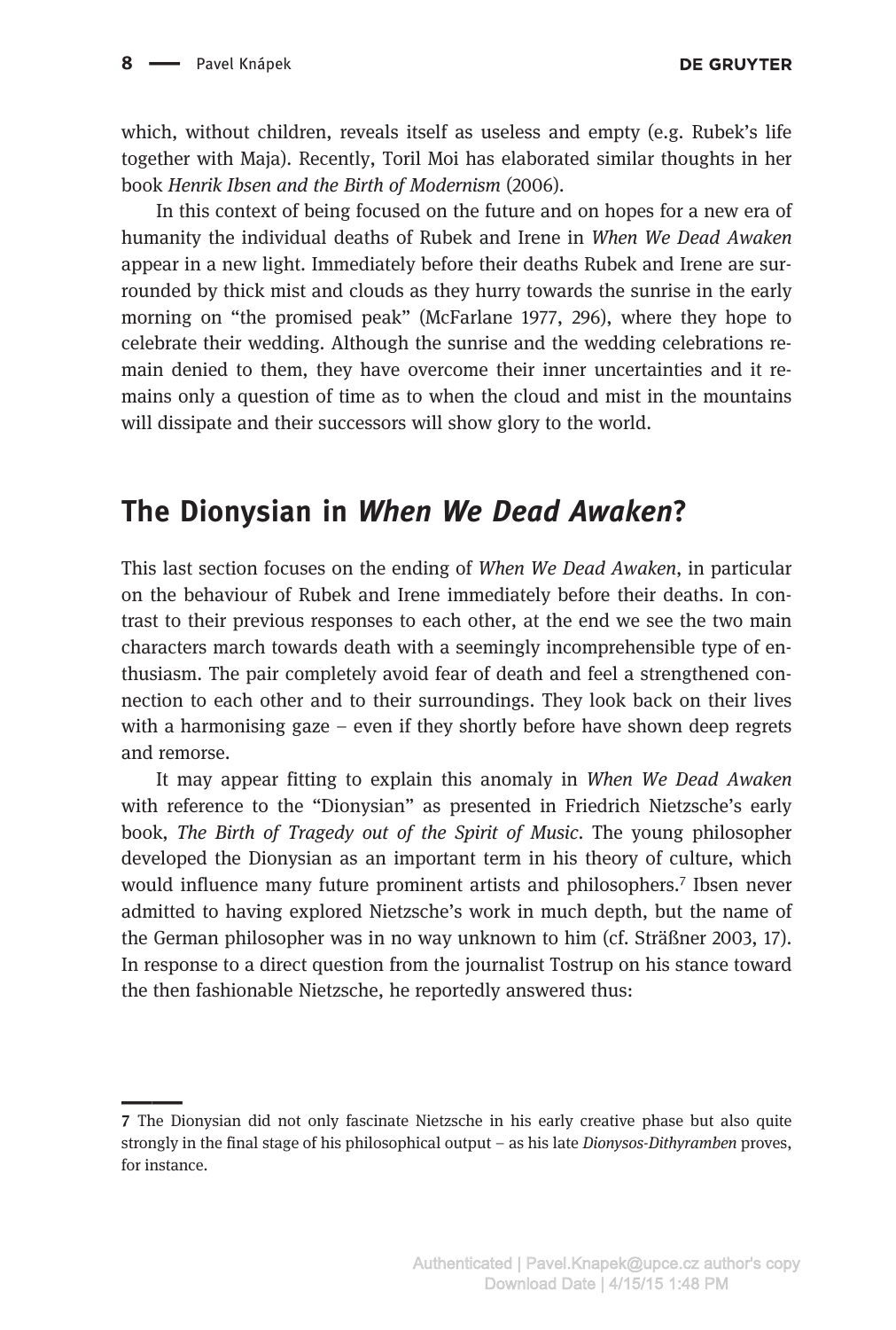which, without children, reveals itself as useless and empty (e.g. Rubek's life together with Maja). Recently, Toril Moi has elaborated similar thoughts in her book Henrik Ibsen and the Birth of Modernism (2006).

In this context of being focused on the future and on hopes for a new era of humanity the individual deaths of Rubek and Irene in When We Dead Awaken appear in a new light. Immediately before their deaths Rubek and Irene are surrounded by thick mist and clouds as they hurry towards the sunrise in the early morning on "the promised peak" (McFarlane 1977, 296), where they hope to celebrate their wedding. Although the sunrise and the wedding celebrations remain denied to them, they have overcome their inner uncertainties and it remains only a question of time as to when the cloud and mist in the mountains will dissipate and their successors will show glory to the world.

## The Dionysian in When We Dead Awaken?

This last section focuses on the ending of When We Dead Awaken, in particular on the behaviour of Rubek and Irene immediately before their deaths. In contrast to their previous responses to each other, at the end we see the two main characters march towards death with a seemingly incomprehensible type of enthusiasm. The pair completely avoid fear of death and feel a strengthened connection to each other and to their surroundings. They look back on their lives with a harmonising gaze – even if they shortly before have shown deep regrets and remorse.

It may appear fitting to explain this anomaly in When We Dead Awaken with reference to the "Dionysian" as presented in Friedrich Nietzsche's early book, The Birth of Tragedy out of the Spirit of Music. The young philosopher developed the Dionysian as an important term in his theory of culture, which would influence many future prominent artists and philosophers.<sup>7</sup> Ibsen never admitted to having explored Nietzsche's work in much depth, but the name of the German philosopher was in no way unknown to him (cf. Sträßner 2003, 17). In response to a direct question from the journalist Tostrup on his stance toward the then fashionable Nietzsche, he reportedly answered thus:

<sup>7</sup> The Dionysian did not only fascinate Nietzsche in his early creative phase but also quite strongly in the final stage of his philosophical output – as his late Dionysos-Dithyramben proves, for instance.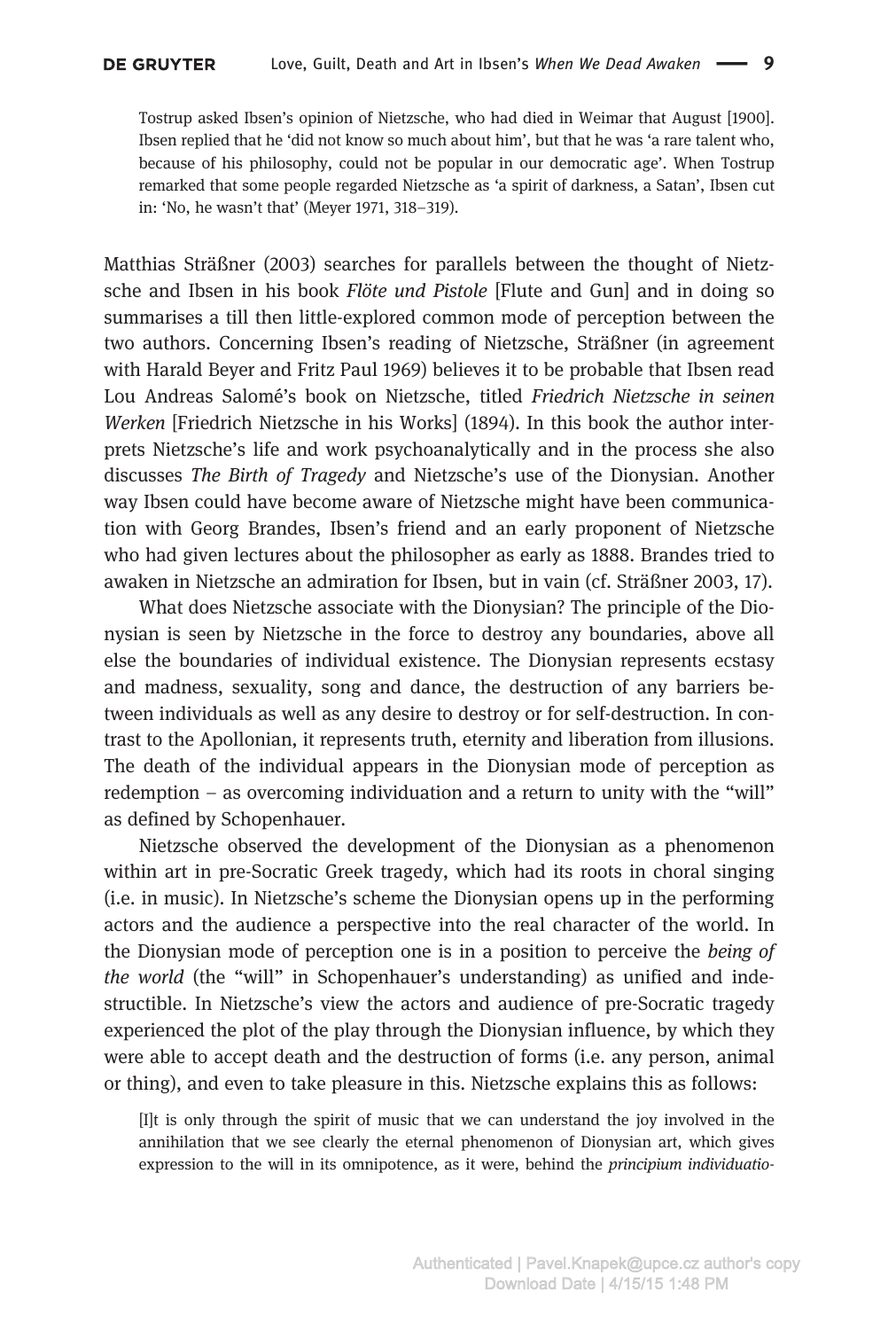Tostrup asked Ibsen's opinion of Nietzsche, who had died in Weimar that August [1900]. Ibsen replied that he 'did not know so much about him', but that he was 'a rare talent who, because of his philosophy, could not be popular in our democratic age'. When Tostrup remarked that some people regarded Nietzsche as 'a spirit of darkness, a Satan', Ibsen cut in: 'No, he wasn't that' (Meyer 1971, 318–319).

Matthias Sträßner (2003) searches for parallels between the thought of Nietzsche and Ibsen in his book *Flöte und Pistole* [Flute and Gun] and in doing so summarises a till then little-explored common mode of perception between the two authors. Concerning Ibsen's reading of Nietzsche, Sträßner (in agreement with Harald Beyer and Fritz Paul 1969) believes it to be probable that Ibsen read Lou Andreas Salomé's book on Nietzsche, titled Friedrich Nietzsche in seinen Werken [Friedrich Nietzsche in his Works] (1894). In this book the author interprets Nietzsche's life and work psychoanalytically and in the process she also discusses The Birth of Tragedy and Nietzsche's use of the Dionysian. Another way Ibsen could have become aware of Nietzsche might have been communication with Georg Brandes, Ibsen's friend and an early proponent of Nietzsche who had given lectures about the philosopher as early as 1888. Brandes tried to awaken in Nietzsche an admiration for Ibsen, but in vain (cf. Sträßner 2003, 17).

What does Nietzsche associate with the Dionysian? The principle of the Dionysian is seen by Nietzsche in the force to destroy any boundaries, above all else the boundaries of individual existence. The Dionysian represents ecstasy and madness, sexuality, song and dance, the destruction of any barriers between individuals as well as any desire to destroy or for self-destruction. In contrast to the Apollonian, it represents truth, eternity and liberation from illusions. The death of the individual appears in the Dionysian mode of perception as redemption – as overcoming individuation and a return to unity with the "will" as defined by Schopenhauer.

Nietzsche observed the development of the Dionysian as a phenomenon within art in pre-Socratic Greek tragedy, which had its roots in choral singing (i.e. in music). In Nietzsche's scheme the Dionysian opens up in the performing actors and the audience a perspective into the real character of the world. In the Dionysian mode of perception one is in a position to perceive the being of the world (the "will" in Schopenhauer's understanding) as unified and indestructible. In Nietzsche's view the actors and audience of pre-Socratic tragedy experienced the plot of the play through the Dionysian influence, by which they were able to accept death and the destruction of forms (i.e. any person, animal or thing), and even to take pleasure in this. Nietzsche explains this as follows:

[I]t is only through the spirit of music that we can understand the joy involved in the annihilation that we see clearly the eternal phenomenon of Dionysian art, which gives expression to the will in its omnipotence, as it were, behind the principium individuatio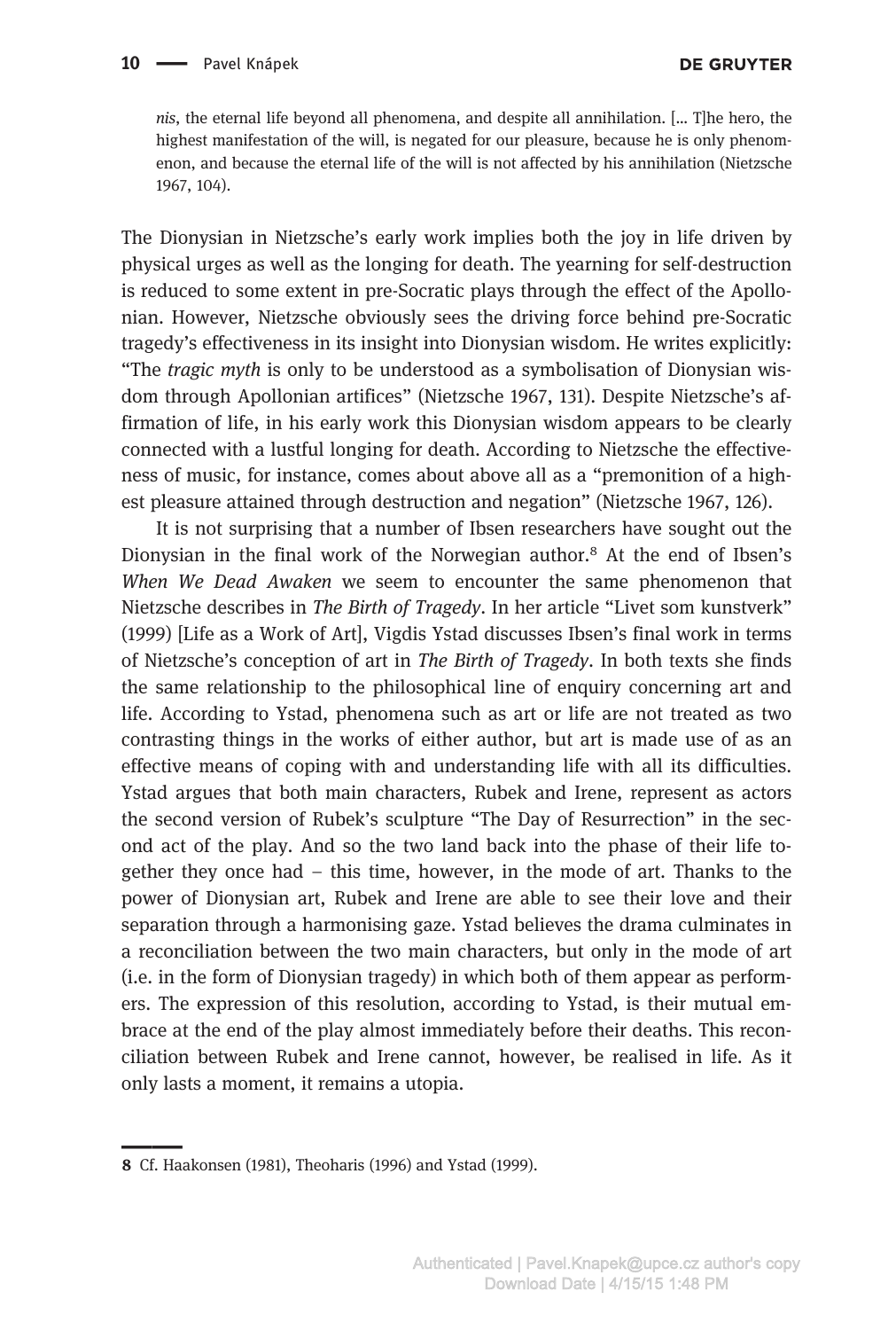nis, the eternal life beyond all phenomena, and despite all annihilation. [… T]he hero, the highest manifestation of the will, is negated for our pleasure, because he is only phenomenon, and because the eternal life of the will is not affected by his annihilation (Nietzsche 1967, 104).

The Dionysian in Nietzsche's early work implies both the joy in life driven by physical urges as well as the longing for death. The yearning for self-destruction is reduced to some extent in pre-Socratic plays through the effect of the Apollonian. However, Nietzsche obviously sees the driving force behind pre-Socratic tragedy's effectiveness in its insight into Dionysian wisdom. He writes explicitly: "The tragic myth is only to be understood as a symbolisation of Dionysian wisdom through Apollonian artifices" (Nietzsche 1967, 131). Despite Nietzsche's affirmation of life, in his early work this Dionysian wisdom appears to be clearly connected with a lustful longing for death. According to Nietzsche the effectiveness of music, for instance, comes about above all as a "premonition of a highest pleasure attained through destruction and negation" (Nietzsche 1967, 126).

It is not surprising that a number of Ibsen researchers have sought out the Dionysian in the final work of the Norwegian author.8 At the end of Ibsen's When We Dead Awaken we seem to encounter the same phenomenon that Nietzsche describes in The Birth of Tragedy. In her article "Livet som kunstverk" (1999) [Life as a Work of Art], Vigdis Ystad discusses Ibsen's final work in terms of Nietzsche's conception of art in The Birth of Tragedy. In both texts she finds the same relationship to the philosophical line of enquiry concerning art and life. According to Ystad, phenomena such as art or life are not treated as two contrasting things in the works of either author, but art is made use of as an effective means of coping with and understanding life with all its difficulties. Ystad argues that both main characters, Rubek and Irene, represent as actors the second version of Rubek's sculpture "The Day of Resurrection" in the second act of the play. And so the two land back into the phase of their life together they once had – this time, however, in the mode of art. Thanks to the power of Dionysian art, Rubek and Irene are able to see their love and their separation through a harmonising gaze. Ystad believes the drama culminates in a reconciliation between the two main characters, but only in the mode of art (i.e. in the form of Dionysian tragedy) in which both of them appear as performers. The expression of this resolution, according to Ystad, is their mutual embrace at the end of the play almost immediately before their deaths. This reconciliation between Rubek and Irene cannot, however, be realised in life. As it only lasts a moment, it remains a utopia.

<sup>8</sup> Cf. Haakonsen (1981), Theoharis (1996) and Ystad (1999).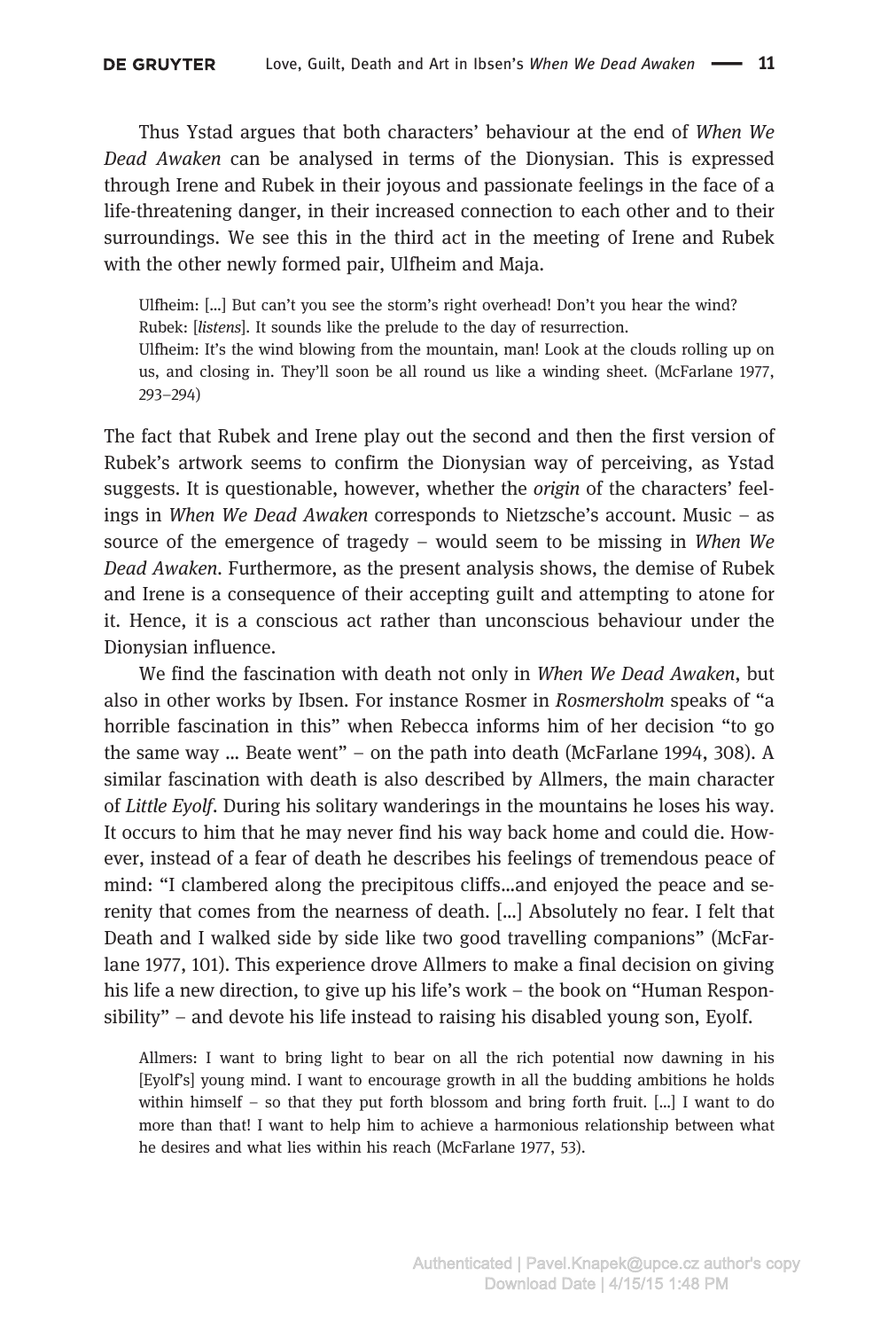Thus Ystad argues that both characters' behaviour at the end of When We Dead Awaken can be analysed in terms of the Dionysian. This is expressed through Irene and Rubek in their joyous and passionate feelings in the face of a life-threatening danger, in their increased connection to each other and to their surroundings. We see this in the third act in the meeting of Irene and Rubek with the other newly formed pair, Ulfheim and Maja.

Ulfheim: […] But can't you see the storm's right overhead! Don't you hear the wind? Rubek: [listens]. It sounds like the prelude to the day of resurrection.

Ulfheim: It's the wind blowing from the mountain, man! Look at the clouds rolling up on us, and closing in. They'll soon be all round us like a winding sheet. (McFarlane 1977, 293–294)

The fact that Rubek and Irene play out the second and then the first version of Rubek's artwork seems to confirm the Dionysian way of perceiving, as Ystad suggests. It is questionable, however, whether the origin of the characters' feelings in When We Dead Awaken corresponds to Nietzsche's account. Music – as source of the emergence of tragedy – would seem to be missing in When We Dead Awaken. Furthermore, as the present analysis shows, the demise of Rubek and Irene is a consequence of their accepting guilt and attempting to atone for it. Hence, it is a conscious act rather than unconscious behaviour under the Dionysian influence.

We find the fascination with death not only in When We Dead Awaken, but also in other works by Ibsen. For instance Rosmer in Rosmersholm speaks of "a horrible fascination in this" when Rebecca informs him of her decision "to go the same way … Beate went" – on the path into death (McFarlane 1994, 308). A similar fascination with death is also described by Allmers, the main character of Little Eyolf. During his solitary wanderings in the mountains he loses his way. It occurs to him that he may never find his way back home and could die. However, instead of a fear of death he describes his feelings of tremendous peace of mind: "I clambered along the precipitous cliffs…and enjoyed the peace and serenity that comes from the nearness of death. […] Absolutely no fear. I felt that Death and I walked side by side like two good travelling companions" (McFarlane 1977, 101). This experience drove Allmers to make a final decision on giving his life a new direction, to give up his life's work – the book on "Human Responsibility" – and devote his life instead to raising his disabled young son, Eyolf.

Allmers: I want to bring light to bear on all the rich potential now dawning in his [Eyolf's] young mind. I want to encourage growth in all the budding ambitions he holds within himself – so that they put forth blossom and bring forth fruit. [...] I want to do more than that! I want to help him to achieve a harmonious relationship between what he desires and what lies within his reach (McFarlane 1977, 53).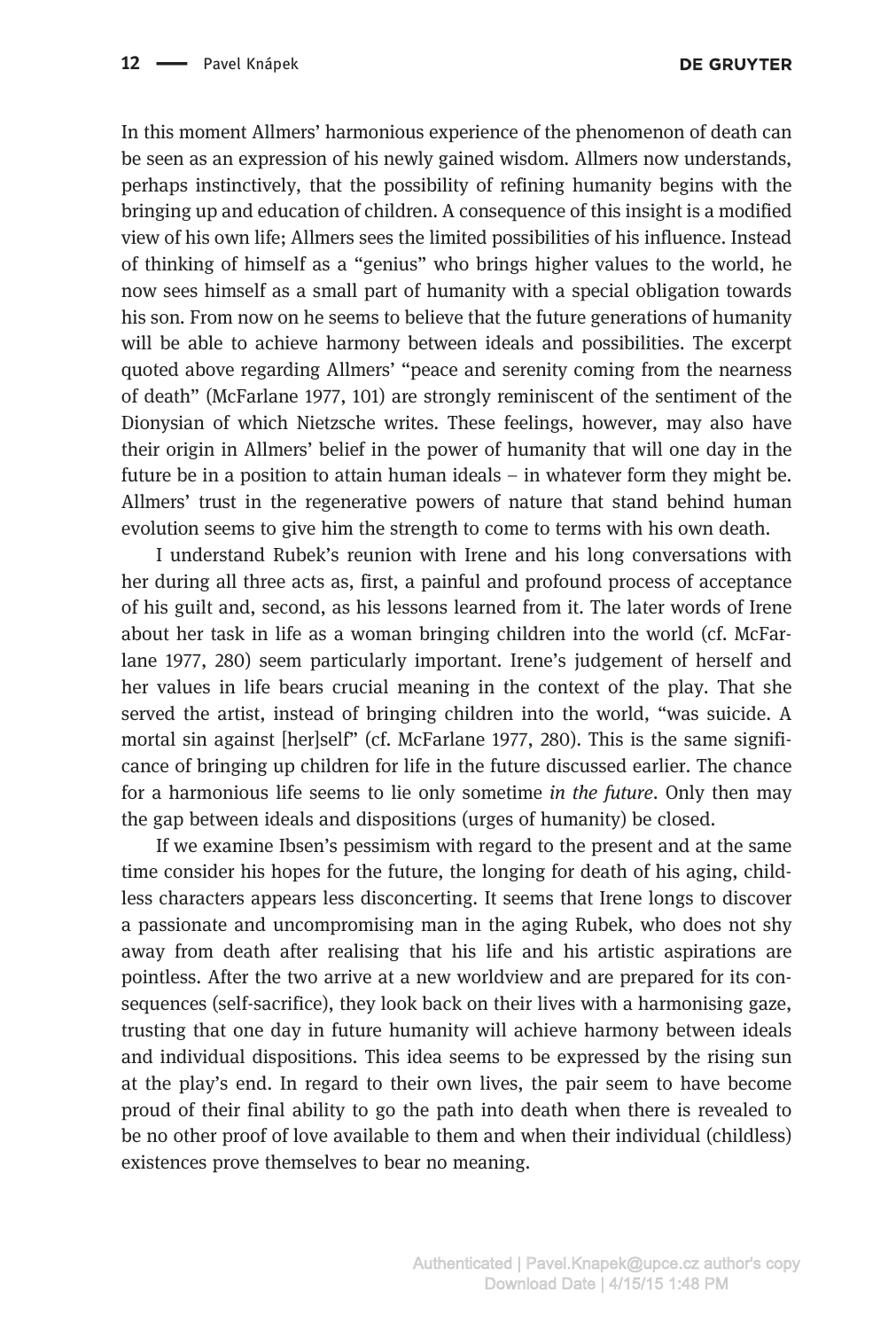In this moment Allmers' harmonious experience of the phenomenon of death can be seen as an expression of his newly gained wisdom. Allmers now understands, perhaps instinctively, that the possibility of refining humanity begins with the bringing up and education of children. A consequence of this insight is a modified view of his own life; Allmers sees the limited possibilities of his influence. Instead of thinking of himself as a "genius" who brings higher values to the world, he now sees himself as a small part of humanity with a special obligation towards his son. From now on he seems to believe that the future generations of humanity will be able to achieve harmony between ideals and possibilities. The excerpt quoted above regarding Allmers' "peace and serenity coming from the nearness of death" (McFarlane 1977, 101) are strongly reminiscent of the sentiment of the Dionysian of which Nietzsche writes. These feelings, however, may also have their origin in Allmers' belief in the power of humanity that will one day in the future be in a position to attain human ideals – in whatever form they might be. Allmers' trust in the regenerative powers of nature that stand behind human evolution seems to give him the strength to come to terms with his own death.

I understand Rubek's reunion with Irene and his long conversations with her during all three acts as, first, a painful and profound process of acceptance of his guilt and, second, as his lessons learned from it. The later words of Irene about her task in life as a woman bringing children into the world (cf. McFarlane 1977, 280) seem particularly important. Irene's judgement of herself and her values in life bears crucial meaning in the context of the play. That she served the artist, instead of bringing children into the world, "was suicide. A mortal sin against [her]self" (cf. McFarlane 1977, 280). This is the same significance of bringing up children for life in the future discussed earlier. The chance for a harmonious life seems to lie only sometime in the future. Only then may the gap between ideals and dispositions (urges of humanity) be closed.

If we examine Ibsen's pessimism with regard to the present and at the same time consider his hopes for the future, the longing for death of his aging, childless characters appears less disconcerting. It seems that Irene longs to discover a passionate and uncompromising man in the aging Rubek, who does not shy away from death after realising that his life and his artistic aspirations are pointless. After the two arrive at a new worldview and are prepared for its consequences (self-sacrifice), they look back on their lives with a harmonising gaze, trusting that one day in future humanity will achieve harmony between ideals and individual dispositions. This idea seems to be expressed by the rising sun at the play's end. In regard to their own lives, the pair seem to have become proud of their final ability to go the path into death when there is revealed to be no other proof of love available to them and when their individual (childless) existences prove themselves to bear no meaning.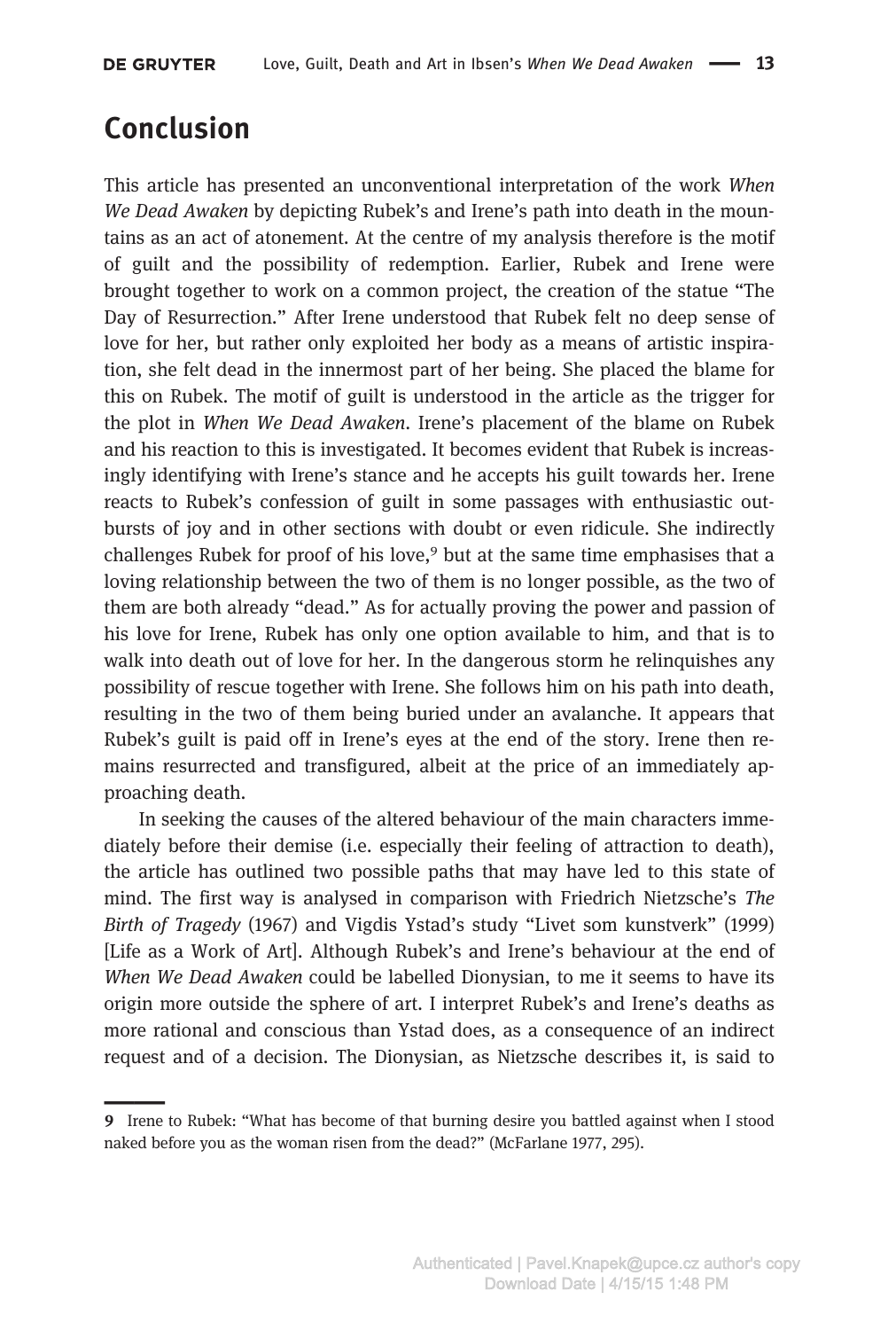# Conclusion

This article has presented an unconventional interpretation of the work When We Dead Awaken by depicting Rubek's and Irene's path into death in the mountains as an act of atonement. At the centre of my analysis therefore is the motif of guilt and the possibility of redemption. Earlier, Rubek and Irene were brought together to work on a common project, the creation of the statue "The Day of Resurrection." After Irene understood that Rubek felt no deep sense of love for her, but rather only exploited her body as a means of artistic inspiration, she felt dead in the innermost part of her being. She placed the blame for this on Rubek. The motif of guilt is understood in the article as the trigger for the plot in When We Dead Awaken. Irene's placement of the blame on Rubek and his reaction to this is investigated. It becomes evident that Rubek is increasingly identifying with Irene's stance and he accepts his guilt towards her. Irene reacts to Rubek's confession of guilt in some passages with enthusiastic outbursts of joy and in other sections with doubt or even ridicule. She indirectly challenges Rubek for proof of his love,<sup>9</sup> but at the same time emphasises that a loving relationship between the two of them is no longer possible, as the two of them are both already "dead." As for actually proving the power and passion of his love for Irene, Rubek has only one option available to him, and that is to walk into death out of love for her. In the dangerous storm he relinquishes any possibility of rescue together with Irene. She follows him on his path into death, resulting in the two of them being buried under an avalanche. It appears that Rubek's guilt is paid off in Irene's eyes at the end of the story. Irene then remains resurrected and transfigured, albeit at the price of an immediately approaching death.

In seeking the causes of the altered behaviour of the main characters immediately before their demise (i.e. especially their feeling of attraction to death), the article has outlined two possible paths that may have led to this state of mind. The first way is analysed in comparison with Friedrich Nietzsche's The Birth of Tragedy (1967) and Vigdis Ystad's study "Livet som kunstverk" (1999) [Life as a Work of Art]. Although Rubek's and Irene's behaviour at the end of When We Dead Awaken could be labelled Dionysian, to me it seems to have its origin more outside the sphere of art. I interpret Rubek's and Irene's deaths as more rational and conscious than Ystad does, as a consequence of an indirect request and of a decision. The Dionysian, as Nietzsche describes it, is said to

<sup>9</sup> Irene to Rubek: "What has become of that burning desire you battled against when I stood naked before you as the woman risen from the dead?" (McFarlane 1977, 295).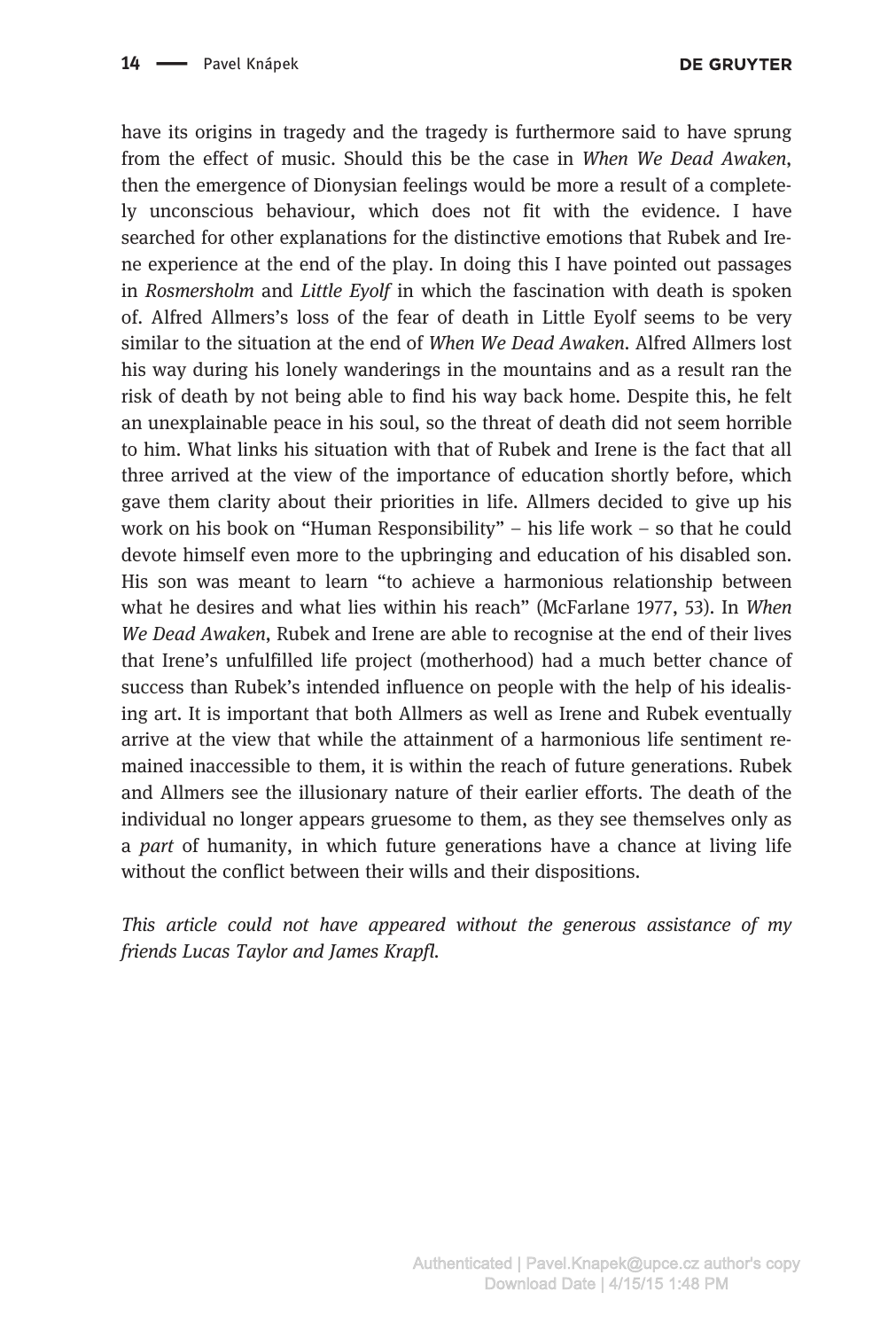**DE GRUYTER** 

have its origins in tragedy and the tragedy is furthermore said to have sprung from the effect of music. Should this be the case in When We Dead Awaken, then the emergence of Dionysian feelings would be more a result of a completely unconscious behaviour, which does not fit with the evidence. I have searched for other explanations for the distinctive emotions that Rubek and Irene experience at the end of the play. In doing this I have pointed out passages in Rosmersholm and Little Evolf in which the fascination with death is spoken of. Alfred Allmers's loss of the fear of death in Little Eyolf seems to be very similar to the situation at the end of When We Dead Awaken. Alfred Allmers lost his way during his lonely wanderings in the mountains and as a result ran the risk of death by not being able to find his way back home. Despite this, he felt an unexplainable peace in his soul, so the threat of death did not seem horrible to him. What links his situation with that of Rubek and Irene is the fact that all three arrived at the view of the importance of education shortly before, which gave them clarity about their priorities in life. Allmers decided to give up his work on his book on "Human Responsibility" – his life work – so that he could devote himself even more to the upbringing and education of his disabled son. His son was meant to learn "to achieve a harmonious relationship between what he desires and what lies within his reach" (McFarlane 1977, 53). In When We Dead Awaken, Rubek and Irene are able to recognise at the end of their lives that Irene's unfulfilled life project (motherhood) had a much better chance of success than Rubek's intended influence on people with the help of his idealising art. It is important that both Allmers as well as Irene and Rubek eventually arrive at the view that while the attainment of a harmonious life sentiment remained inaccessible to them, it is within the reach of future generations. Rubek and Allmers see the illusionary nature of their earlier efforts. The death of the individual no longer appears gruesome to them, as they see themselves only as a *part* of humanity, in which future generations have a chance at living life without the conflict between their wills and their dispositions.

This article could not have appeared without the generous assistance of my friends Lucas Taylor and James Krapfl.